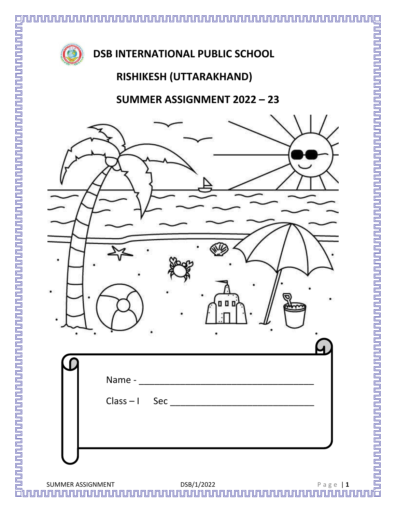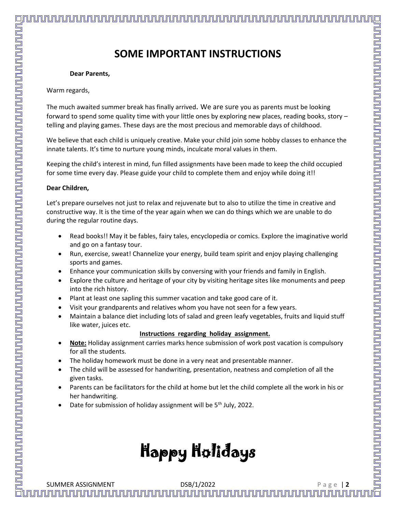**SOME IMPORTANT INSTRUCTIONS**

## **Dear Parents,**

Warm regards,

The much awaited summer break has finally arrived. We are sure you as parents must be looking forward to spend some quality time with your little ones by exploring new places, reading books, story – telling and playing games. These days are the most precious and memorable days of childhood.

We believe that each child is uniquely creative. Make your child join some hobby classes to enhance the innate talents. It's time to nurture young minds, inculcate moral values in them.

Keeping the child's interest in mind, fun filled assignments have been made to keep the child occupied for some time every day. Please guide your child to complete them and enjoy while doing it!!

## **Dear Children,**

Let's prepare ourselves not just to relax and rejuvenate but to also to utilize the time in creative and constructive way. It is the time of the year again when we can do things which we are unable to do during the regular routine days.

- Read books!! May it be fables, fairy tales, encyclopedia or comics. Explore the imaginative world and go on a fantasy tour.
- Run, exercise, sweat! Channelize your energy, build team spirit and enjoy playing challenging sports and games.
- Enhance your communication skills by conversing with your friends and family in English.
- Explore the culture and heritage of your city by visiting heritage sites like monuments and peep into the rich history.
- Plant at least one sapling this summer vacation and take good care of it.
- Visit your grandparents and relatives whom you have not seen for a few years.
- Maintain a balance diet including lots of salad and green leafy vegetables, fruits and liquid stuff like water, juices etc.

### **Instructions regarding holiday assignment.**

- **Note:** Holiday assignment carries marks hence submission of work post vacation is compulsory for all the students.
- The holiday homework must be done in a very neat and presentable manner.
- The child will be assessed for handwriting, presentation, neatness and completion of all the given tasks.
- Parents can be facilitators for the child at home but let the child complete all the work in his or her handwriting.
- Date for submission of holiday assignment will be  $5<sup>th</sup>$  July, 2022.

# Happy Holidays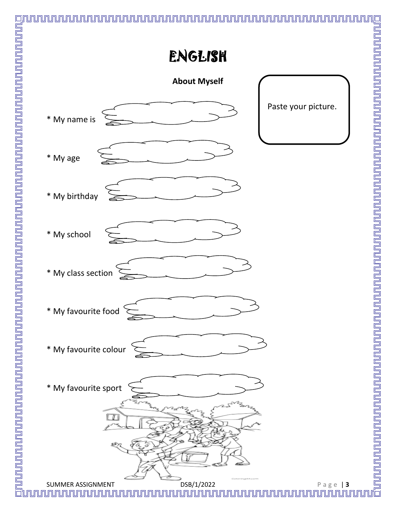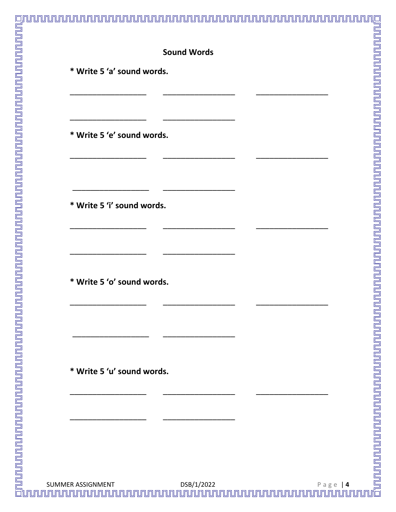## **Sound Words**

<u>mununu</u>

\* Write 5 'a' sound words.

\* Write 5 'e' sound words.

\* Write 5 'i' sound words.

\* Write 5 'o' sound words.

\* Write 5 'u' sound words.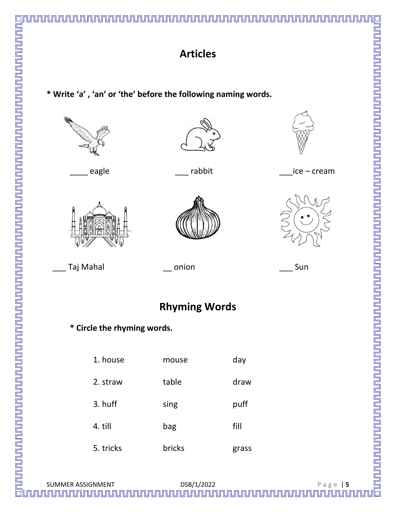

# **Articles**

**\* Write 'a' , 'an' or 'the' before the following naming words.**







\_\_\_\_\_ eagle \_\_\_\_ rabbit \_\_\_\_ice – cream



\_\_\_ Taj Mahal \_\_ onion \_\_\_ Sun

# **Rhyming Words**

**\* Circle the rhyming words.** 

| 1. house  | mouse  | day   |
|-----------|--------|-------|
| 2. straw  | table  | draw  |
| 3. huff   | sing   | puff  |
| 4. till   | bag    | fill  |
| 5. tricks | bricks | grass |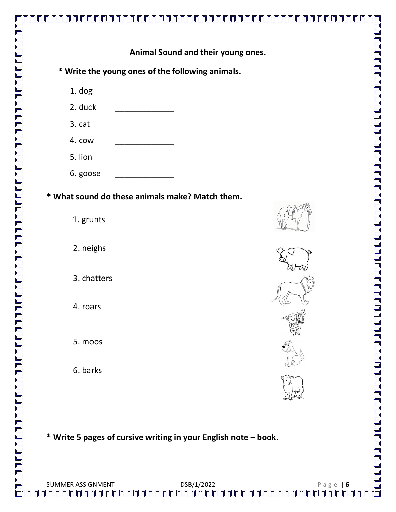

**\* Write 5 pages of cursive writing in your English note – book.**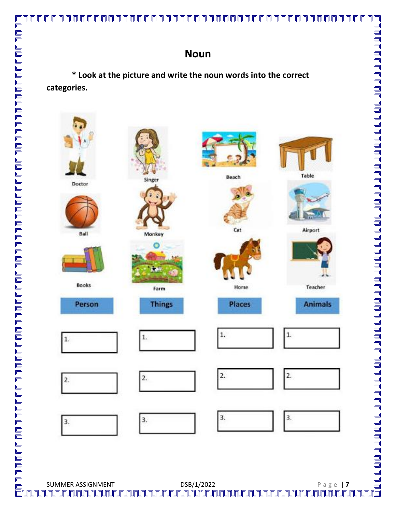**\* Look at the picture and write the noun words into the correct categories.** 

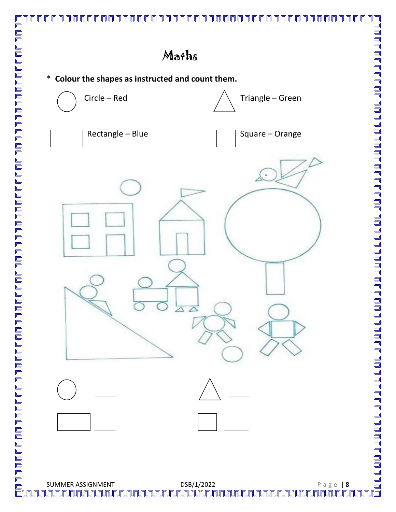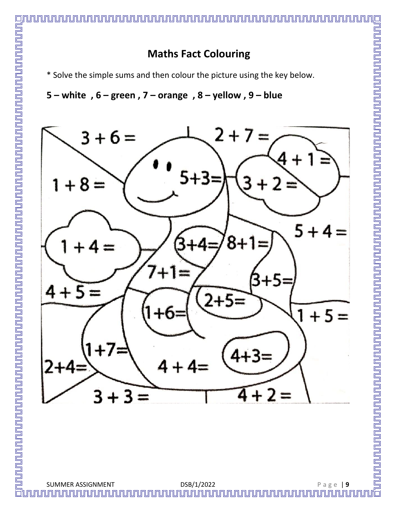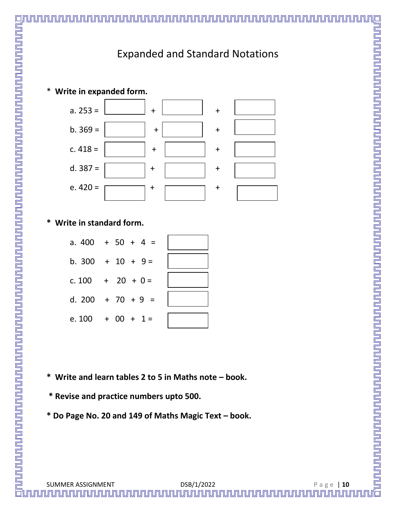# Expanded and Standard Notations



## **\* Write in standard form.**

| a. $400 + 50 + 4 =$ |  |
|---------------------|--|
| b. 300 + 10 + 9 =   |  |
| c. $100 + 20 + 0 =$ |  |
| d. 200 + 70 + 9 =   |  |
| e. $100 + 00 + 1 =$ |  |

- **\* Write and learn tables 2 to 5 in Maths note – book.**
- **\* Revise and practice numbers upto 500.**
- **\* Do Page No. 20 and 149 of Maths Magic Text – book.**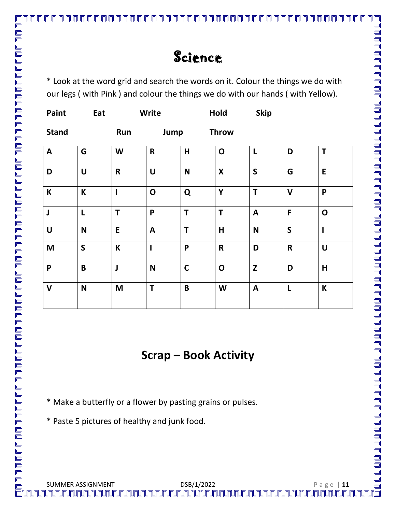<u>ununun mundun mundun mundun mundun mundun mundun masa yang berjada menjadi sebagai dan mengan mengan mengan m</u>

\* Look at the word grid and search the words on it. Colour the things we do with our legs ( with Pink ) and colour the things we do with our hands ( with Yellow).

| Paint                    | Eat          |                          | Write                     |             | Hold               | <b>Skip</b>      |              |                         |
|--------------------------|--------------|--------------------------|---------------------------|-------------|--------------------|------------------|--------------|-------------------------|
| <b>Stand</b>             |              | Run                      | Jump                      |             | <b>Throw</b>       |                  |              |                         |
| $\boldsymbol{A}$         | G            | W                        | $\mathsf{R}$              | H           | $\mathbf O$        | $\mathsf{L}$     | D            | T                       |
| D                        | $\cup$       | $\mathsf R$              | $\cup$                    | N           | $\pmb{\mathsf{X}}$ | $\mathsf{S}$     | G            | E                       |
| $\mathsf K$              | K            | $\overline{\phantom{a}}$ | $\mathbf O$               | Q           | Y                  | T                | $\mathsf{V}$ | P                       |
| J                        | L            | T                        | P                         | T           | T                  | $\mathbf{A}$     | F            | $\mathbf O$             |
| $\pmb{\pmb{\pmb{\cup}}}$ | ${\sf N}$    | E                        | $\boldsymbol{\mathsf{A}}$ | T           | $\mathsf{H}$       | $\mathsf{N}$     | $\mathsf{S}$ | $\mathbf{I}$            |
| M                        | $\mathsf{S}$ | $\mathsf K$              | $\mathbf{I}$              | P           | $\mathsf R$        | D                | $\mathsf R$  | $\mathbf U$             |
| P                        | $\mathbf B$  | $\mathbf{\mathsf{J}}$    | N                         | $\mathbf C$ | $\mathbf O$        | $\mathbf{Z}$     | D            | $\overline{\mathsf{H}}$ |
| $\mathsf{V}$             | $\mathsf{N}$ | M                        | T                         | B           | W                  | $\boldsymbol{A}$ | L            | K                       |

# **Scrap – Book Activity**

\* Make a butterfly or a flower by pasting grains or pulses.

\* Paste 5 pictures of healthy and junk food.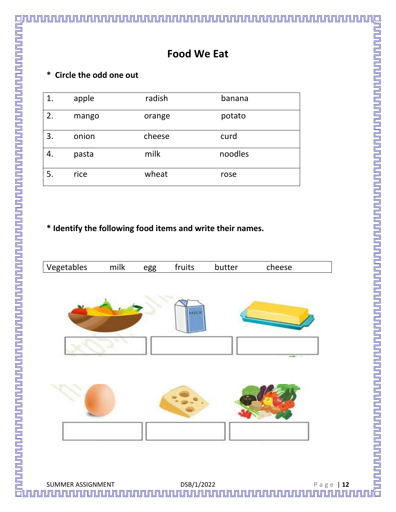# **\* Circle the odd one out**

| 1. | apple | radish | banana  |
|----|-------|--------|---------|
| 2. | mango | orange | potato  |
| 3. | onion | cheese | curd    |
|    | pasta | milk   | noodles |
| 5. | rice  | wheat  | rose    |

# **\* Identify the following food items and write their names.**